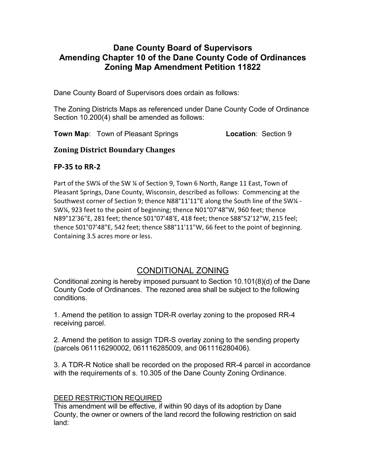# Dane County Board of Supervisors Amending Chapter 10 of the Dane County Code of Ordinances Zoning Map Amendment Petition 11822

Dane County Board of Supervisors does ordain as follows:

The Zoning Districts Maps as referenced under Dane County Code of Ordinance Section 10.200(4) shall be amended as follows:

**Town Map:** Town of Pleasant Springs **Location:** Section 9

## Zoning District Boundary Changes

## FP-35 to RR-2

Part of the SW¼ of the SW ¼ of Section 9, Town 6 North, Range 11 East, Town of Pleasant Springs, Dane County, Wisconsin, described as follows: Commencing at the Southwest corner of Section 9; thence N88°11'11"E along the South line of the SW¼ - SW¼, 923 feet to the point of beginning; thence N01°07'48"W, 960 feet; thence N89°12'36"E, 281 feet; thence S01°07'48'E, 418 feet; thence S88°52'12"W, 215 feel; thence S01°07'48"E, 542 feet; thence S88°11'11"W, 66 feet to the point of beginning. Containing 3.5 acres more or less.

# CONDITIONAL ZONING

Conditional zoning is hereby imposed pursuant to Section 10.101(8)(d) of the Dane County Code of Ordinances. The rezoned area shall be subject to the following conditions.

1. Amend the petition to assign TDR-R overlay zoning to the proposed RR-4 receiving parcel.

2. Amend the petition to assign TDR-S overlay zoning to the sending property (parcels 061116290002, 061116285009, and 061116280406).

3. A TDR-R Notice shall be recorded on the proposed RR-4 parcel in accordance with the requirements of s. 10.305 of the Dane County Zoning Ordinance.

### DEED RESTRICTION REQUIRED

This amendment will be effective, if within 90 days of its adoption by Dane County, the owner or owners of the land record the following restriction on said land: